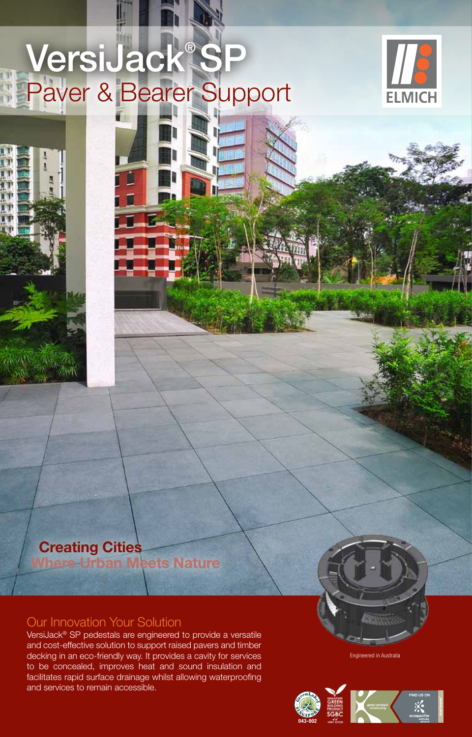# VersiJack® SP Paver & Bearer Support



## **Creating Cities Where Urban Meets Nature**

### Our Innovation Your Solution

VersiJack® SP pedestals are engineered to provide a versatile and cost-effective solution to support raised pavers and timber decking in an eco-friendly way. It provides a cavity for services to be concealed, improves heat and sound insulation and facilitates rapid surface drainage whilst allowing waterproofing and services to remain accessible.

Engineered in Australia

**043-002**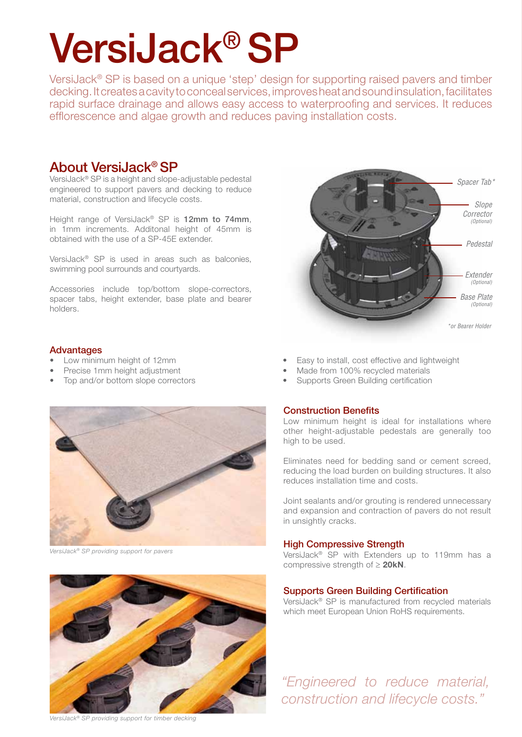# VersiJack® SP

VersiJack® SP is based on a unique 'step' design for supporting raised pavers and timber decking. It creates a cavity to conceal services, improves heat and sound insulation, facilitates rapid surface drainage and allows easy access to waterproofing and services. It reduces efflorescence and algae growth and reduces paving installation costs.

### About VersiJack® SP

VersiJack® SP is a height and slope-adjustable pedestal engineered to support pavers and decking to reduce material, construction and lifecycle costs.

Height range of VersiJack® SP is 12mm to 74mm, in 1mm increments. Additonal height of 45mm is obtained with the use of a SP-45E extender.

VersiJack® SP is used in areas such as balconies, swimming pool surrounds and courtyards.

Accessories include top/bottom slope-correctors, spacer tabs, height extender, base plate and bearer holders.

#### Advantages

- 
- **Precise 1mm height adjustment** Made from 100% recycled materials
- Top and/or bottom slope correctors Supports Green Building certification



*VersiJack® SP providing support for pavers*



*VersiJack® SP providing support for timber decking*



- Low minimum height of 12mm **•** Easy to install, cost effective and lightweight
	-
	-

#### Construction Benefits

Low minimum height is ideal for installations where other height-adjustable pedestals are generally too high to be used.

Eliminates need for bedding sand or cement screed, reducing the load burden on building structures. It also reduces installation time and costs.

Joint sealants and/or grouting is rendered unnecessary and expansion and contraction of pavers do not result in unsightly cracks.

#### High Compressive Strength

VersiJack® SP with Extenders up to 119mm has a compressive strength of ≥ **20kN**.

#### Supports Green Building Certification

VersiJack® SP is manufactured from recycled materials which meet European Union RoHS requirements.

*"Engineered to reduce material, construction and lifecycle costs."*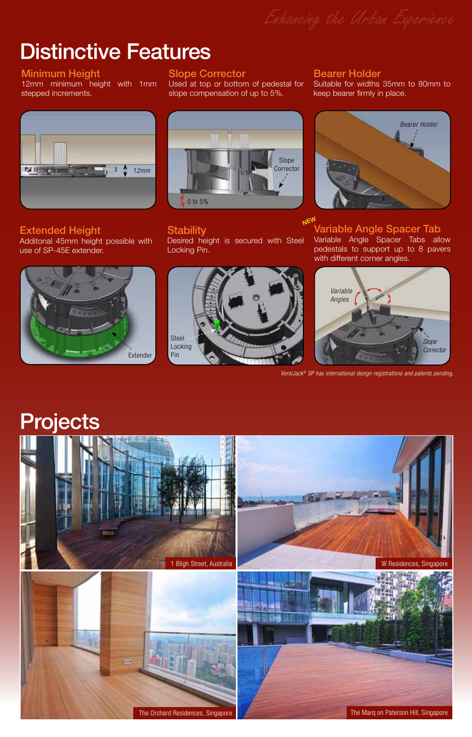# Distinctive Features

#### Minimum Height

12mm minimum height with 1mm stepped increments.

#### Slope Corrector

Used at top or bottom of pedestal for slope compensation of up to 5%.



Extended Height Additonal 45mm height possible with use of SP-45E extender.





#### **Stability**

Desired height is secured with Steel Locking Pin.



Bearer Holder

Suitable for widths 35mm to 80mm to keep bearer firmly in place.



Variable Angle Spacer Tab Variable Angle Spacer Tabs allow pedestals to support up to 8 pavers with different corner angles. **NEW** 



*VersiJack® SP has international design registrations and patents pending.*

# **Projects**